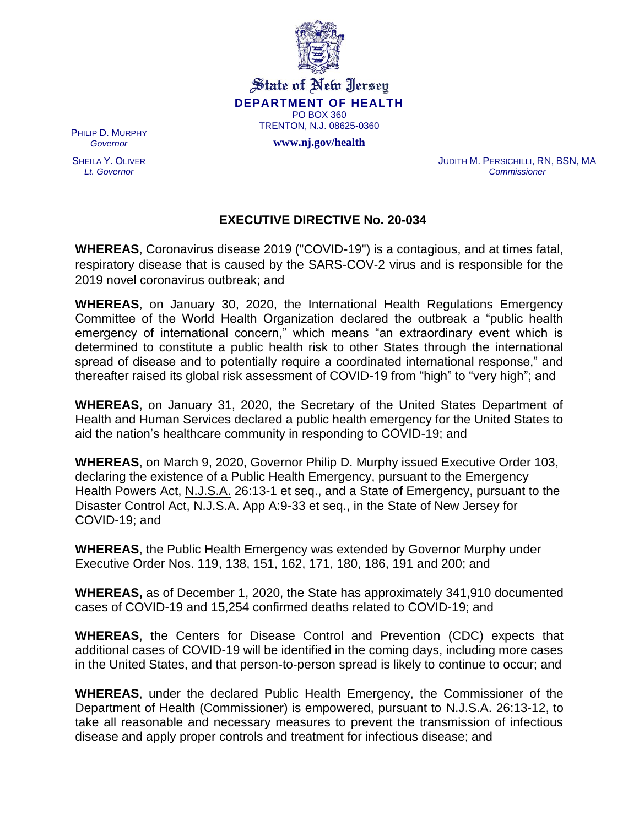

State of New Jersey **DEPARTMENT OF HEALTH** PO BOX 360 TRENTON, N.J. 08625-0360

**www.nj.gov/health**

PHILIP D. MURPHY *Governor*

SHEILA Y. OLIVER *Lt. Governor*

JUDITH M. PERSICHILLI, RN, BSN, MA *Commissioner*

## **EXECUTIVE DIRECTIVE No. 20-034**

**WHEREAS**, Coronavirus disease 2019 ("COVID-19") is a contagious, and at times fatal, respiratory disease that is caused by the SARS-COV-2 virus and is responsible for the 2019 novel coronavirus outbreak; and

**WHEREAS**, on January 30, 2020, the International Health Regulations Emergency Committee of the World Health Organization declared the outbreak a "public health emergency of international concern," which means "an extraordinary event which is determined to constitute a public health risk to other States through the international spread of disease and to potentially require a coordinated international response," and thereafter raised its global risk assessment of COVID-19 from "high" to "very high"; and

**WHEREAS**, on January 31, 2020, the Secretary of the United States Department of Health and Human Services declared a public health emergency for the United States to aid the nation's healthcare community in responding to COVID-19; and

**WHEREAS**, on March 9, 2020, Governor Philip D. Murphy issued Executive Order 103, declaring the existence of a Public Health Emergency, pursuant to the Emergency Health Powers Act, N.J.S.A. 26:13-1 et seq., and a State of Emergency, pursuant to the Disaster Control Act, N.J.S.A. App A:9-33 et seq., in the State of New Jersey for COVID-19; and

**WHEREAS**, the Public Health Emergency was extended by Governor Murphy under Executive Order Nos. 119, 138, 151, 162, 171, 180, 186, 191 and 200; and

**WHEREAS,** as of December 1, 2020, the State has approximately 341,910 documented cases of COVID-19 and 15,254 confirmed deaths related to COVID-19; and

**WHEREAS**, the Centers for Disease Control and Prevention (CDC) expects that additional cases of COVID-19 will be identified in the coming days, including more cases in the United States, and that person-to-person spread is likely to continue to occur; and

**WHEREAS**, under the declared Public Health Emergency, the Commissioner of the Department of Health (Commissioner) is empowered, pursuant to N.J.S.A. 26:13-12, to take all reasonable and necessary measures to prevent the transmission of infectious disease and apply proper controls and treatment for infectious disease; and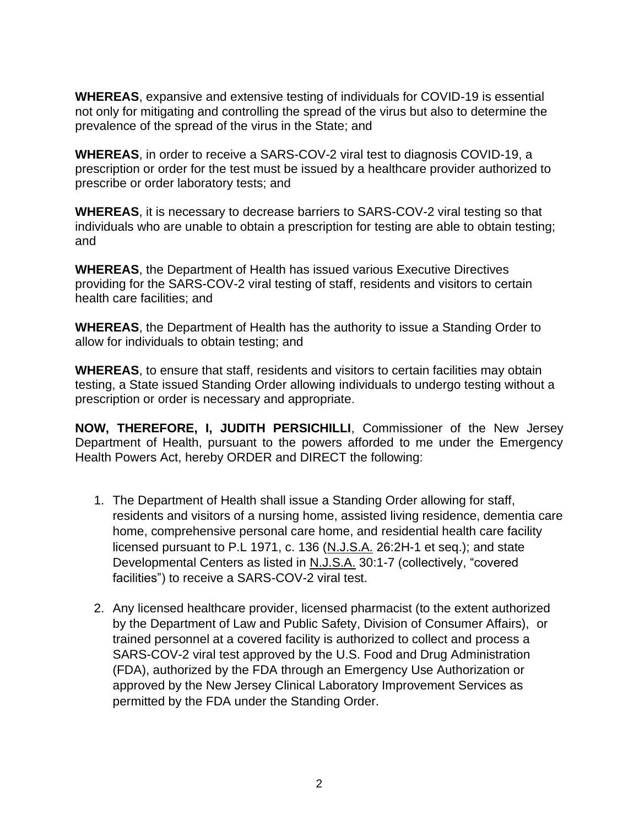**WHEREAS**, expansive and extensive testing of individuals for COVID-19 is essential not only for mitigating and controlling the spread of the virus but also to determine the prevalence of the spread of the virus in the State; and

**WHEREAS**, in order to receive a SARS-COV-2 viral test to diagnosis COVID-19, a prescription or order for the test must be issued by a healthcare provider authorized to prescribe or order laboratory tests; and

**WHEREAS**, it is necessary to decrease barriers to SARS-COV-2 viral testing so that individuals who are unable to obtain a prescription for testing are able to obtain testing; and

**WHEREAS**, the Department of Health has issued various Executive Directives providing for the SARS-COV-2 viral testing of staff, residents and visitors to certain health care facilities; and

**WHEREAS**, the Department of Health has the authority to issue a Standing Order to allow for individuals to obtain testing; and

**WHEREAS**, to ensure that staff, residents and visitors to certain facilities may obtain testing, a State issued Standing Order allowing individuals to undergo testing without a prescription or order is necessary and appropriate.

**NOW, THEREFORE, I, JUDITH PERSICHILLI**, Commissioner of the New Jersey Department of Health, pursuant to the powers afforded to me under the Emergency Health Powers Act, hereby ORDER and DIRECT the following:

- 1. The Department of Health shall issue a Standing Order allowing for staff, residents and visitors of a nursing home, assisted living residence, dementia care home, comprehensive personal care home, and residential health care facility licensed pursuant to P.L 1971, c. 136 (N.J.S.A. 26:2H-1 et seq.); and state Developmental Centers as listed in N.J.S.A. 30:1-7 (collectively, "covered facilities") to receive a SARS-COV-2 viral test.
- 2. Any licensed healthcare provider, licensed pharmacist (to the extent authorized by the Department of Law and Public Safety, Division of Consumer Affairs), or trained personnel at a covered facility is authorized to collect and process a SARS-COV-2 viral test approved by the U.S. Food and Drug Administration (FDA), authorized by the FDA through an Emergency Use Authorization or approved by the New Jersey Clinical Laboratory Improvement Services as permitted by the FDA under the Standing Order.